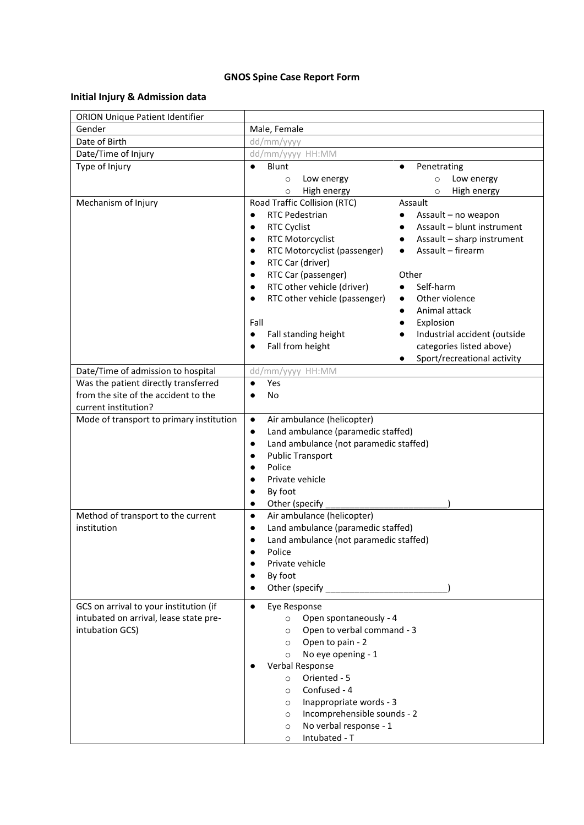## **GNOS Spine Case Report Form**

# **Initial Injury & Admission data**

| <b>ORION Unique Patient Identifier</b>                                                               |                                                                                                                                                                                                                                                                                                                                                                                                   |                                                                                                                                                                                                                                                                                                                                                                |
|------------------------------------------------------------------------------------------------------|---------------------------------------------------------------------------------------------------------------------------------------------------------------------------------------------------------------------------------------------------------------------------------------------------------------------------------------------------------------------------------------------------|----------------------------------------------------------------------------------------------------------------------------------------------------------------------------------------------------------------------------------------------------------------------------------------------------------------------------------------------------------------|
| Gender                                                                                               | Male, Female                                                                                                                                                                                                                                                                                                                                                                                      |                                                                                                                                                                                                                                                                                                                                                                |
| Date of Birth                                                                                        | dd/mm/yyyy                                                                                                                                                                                                                                                                                                                                                                                        |                                                                                                                                                                                                                                                                                                                                                                |
| Date/Time of Injury                                                                                  | dd/mm/yyyy HH:MM                                                                                                                                                                                                                                                                                                                                                                                  |                                                                                                                                                                                                                                                                                                                                                                |
| Type of Injury                                                                                       | Blunt<br>Low energy<br>$\circ$<br>High energy<br>$\circ$                                                                                                                                                                                                                                                                                                                                          | Penetrating<br>Low energy<br>$\circ$<br>High energy<br>$\circ$                                                                                                                                                                                                                                                                                                 |
| Mechanism of Injury                                                                                  | Road Traffic Collision (RTC)<br><b>RTC Pedestrian</b><br>$\bullet$<br><b>RTC Cyclist</b><br>$\bullet$<br>RTC Motorcyclist<br>$\bullet$<br>RTC Motorcyclist (passenger)<br>٠<br>RTC Car (driver)<br>$\bullet$<br>RTC Car (passenger)<br>RTC other vehicle (driver)<br>$\bullet$<br>RTC other vehicle (passenger)<br>Fall<br>Fall standing height<br>$\bullet$<br>Fall from height<br>$\bullet$     | Assault<br>Assault - no weapon<br>Assault - blunt instrument<br>Assault - sharp instrument<br>Assault - firearm<br>$\bullet$<br>Other<br>Self-harm<br>$\bullet$<br>Other violence<br>$\bullet$<br>Animal attack<br>$\bullet$<br>Explosion<br>$\bullet$<br>Industrial accident (outside<br>categories listed above)<br>Sport/recreational activity<br>$\bullet$ |
| Date/Time of admission to hospital                                                                   | dd/mm/yyyy HH:MM                                                                                                                                                                                                                                                                                                                                                                                  |                                                                                                                                                                                                                                                                                                                                                                |
| Was the patient directly transferred<br>from the site of the accident to the<br>current institution? | Yes<br>$\bullet$<br><b>No</b>                                                                                                                                                                                                                                                                                                                                                                     |                                                                                                                                                                                                                                                                                                                                                                |
| Mode of transport to primary institution                                                             | Air ambulance (helicopter)<br>$\bullet$<br>Land ambulance (paramedic staffed)<br>$\bullet$<br>Land ambulance (not paramedic staffed)<br><b>Public Transport</b><br>Police<br>Private vehicle<br>By foot<br>Other (specify<br>$\bullet$                                                                                                                                                            |                                                                                                                                                                                                                                                                                                                                                                |
| Method of transport to the current<br>institution                                                    | Air ambulance (helicopter)<br>$\bullet$<br>Land ambulance (paramedic staffed)<br>$\bullet$<br>Land ambulance (not paramedic staffed)<br>$\bullet$<br>Police<br>$\bullet$<br>Private vehicle<br>By foot<br>$\bullet$<br>Other (specify and state of the state of the state of the state of the state of the state of the state of the s                                                            |                                                                                                                                                                                                                                                                                                                                                                |
| GCS on arrival to your institution (if<br>intubated on arrival, lease state pre-<br>intubation GCS)  | Eye Response<br>$\bullet$<br>Open spontaneously - 4<br>$\circ$<br>Open to verbal command - 3<br>$\circ$<br>Open to pain - 2<br>$\circ$<br>No eye opening - 1<br>$\circ$<br>Verbal Response<br>Oriented - 5<br>$\circ$<br>Confused - 4<br>$\circ$<br>Inappropriate words - 3<br>$\circ$<br>Incomprehensible sounds - 2<br>$\circ$<br>No verbal response - 1<br>$\circ$<br>Intubated - T<br>$\circ$ |                                                                                                                                                                                                                                                                                                                                                                |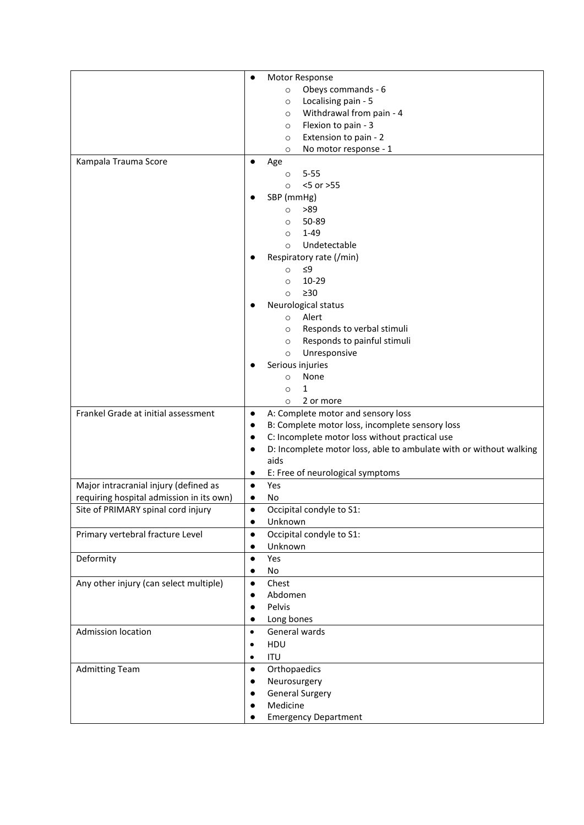|                                          | Motor Response                                                                                                  |
|------------------------------------------|-----------------------------------------------------------------------------------------------------------------|
|                                          | Obeys commands - 6<br>$\circ$                                                                                   |
|                                          | Localising pain - 5<br>$\circ$                                                                                  |
|                                          | Withdrawal from pain - 4<br>$\circ$                                                                             |
|                                          | Flexion to pain - 3<br>$\circ$                                                                                  |
|                                          | Extension to pain - 2<br>$\circ$                                                                                |
|                                          | No motor response - 1<br>$\circ$                                                                                |
| Kampala Trauma Score                     | Age<br>$\bullet$                                                                                                |
|                                          | $5 - 55$<br>$\circ$                                                                                             |
|                                          | <5 or >55<br>$\circ$                                                                                            |
|                                          | SBP (mmHg)                                                                                                      |
|                                          | >89<br>$\circ$                                                                                                  |
|                                          | 50-89<br>$\circ$                                                                                                |
|                                          | $1 - 49$<br>$\circ$                                                                                             |
|                                          | Undetectable<br>$\circ$                                                                                         |
|                                          | Respiratory rate (/min)                                                                                         |
|                                          | ≤9<br>$\circ$                                                                                                   |
|                                          | $10 - 29$<br>$\circ$                                                                                            |
|                                          | $\geq 30$<br>$\circ$                                                                                            |
|                                          | Neurological status                                                                                             |
|                                          | Alert<br>$\circ$                                                                                                |
|                                          | Responds to verbal stimuli<br>$\circ$                                                                           |
|                                          | Responds to painful stimuli<br>$\circ$                                                                          |
|                                          | Unresponsive<br>$\circ$                                                                                         |
|                                          | Serious injuries                                                                                                |
|                                          | None<br>$\circ$                                                                                                 |
|                                          | $\mathbf{1}$<br>$\circ$                                                                                         |
| Frankel Grade at initial assessment      | 2 or more<br>$\circ$                                                                                            |
|                                          | A: Complete motor and sensory loss<br>$\bullet$<br>B: Complete motor loss, incomplete sensory loss<br>$\bullet$ |
|                                          | C: Incomplete motor loss without practical use<br>$\bullet$                                                     |
|                                          | D: Incomplete motor loss, able to ambulate with or without walking<br>$\bullet$                                 |
|                                          | aids                                                                                                            |
|                                          | E: Free of neurological symptoms<br>٠                                                                           |
| Major intracranial injury (defined as    | Yes<br>$\bullet$                                                                                                |
| requiring hospital admission in its own) | No<br>$\bullet$                                                                                                 |
| Site of PRIMARY spinal cord injury       | Occipital condyle to S1:                                                                                        |
|                                          | Unknown<br>$\bullet$                                                                                            |
| Primary vertebral fracture Level         | Occipital condyle to S1:<br>$\bullet$                                                                           |
|                                          | Unknown<br>$\bullet$                                                                                            |
| Deformity                                | Yes<br>$\bullet$                                                                                                |
|                                          | No<br>$\bullet$                                                                                                 |
| Any other injury (can select multiple)   | Chest<br>$\bullet$                                                                                              |
|                                          | Abdomen<br>$\bullet$                                                                                            |
|                                          | Pelvis<br>$\bullet$                                                                                             |
|                                          | Long bones<br>$\bullet$                                                                                         |
| Admission location                       | General wards<br>$\bullet$                                                                                      |
|                                          | HDU<br>$\bullet$                                                                                                |
|                                          | <b>ITU</b><br>$\bullet$                                                                                         |
| <b>Admitting Team</b>                    | Orthopaedics<br>$\bullet$                                                                                       |
|                                          | Neurosurgery<br>$\bullet$                                                                                       |
|                                          | <b>General Surgery</b><br>$\bullet$                                                                             |
|                                          | Medicine                                                                                                        |
|                                          | <b>Emergency Department</b>                                                                                     |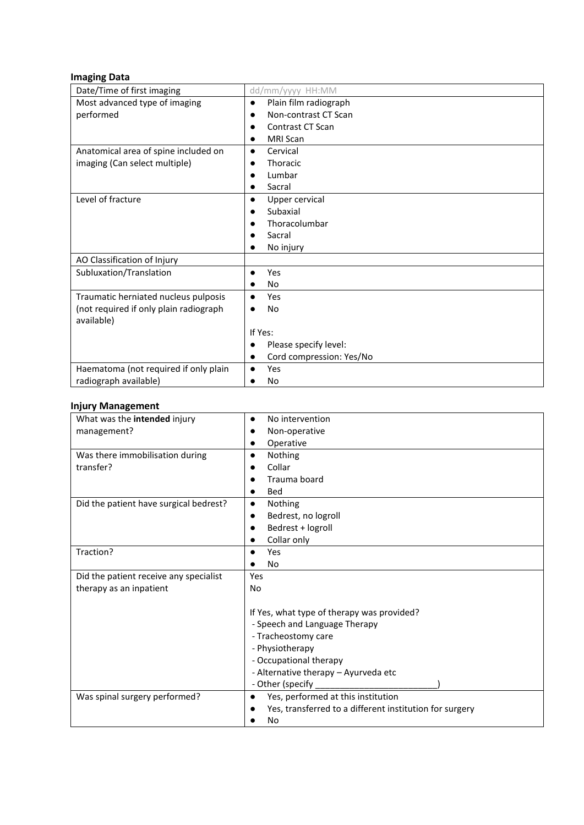#### **Imaging Data**

| Date/Time of first imaging             | dd/mm/yyyy HH:MM                   |
|----------------------------------------|------------------------------------|
| Most advanced type of imaging          | Plain film radiograph<br>$\bullet$ |
| performed                              | Non-contrast CT Scan               |
|                                        | <b>Contrast CT Scan</b>            |
|                                        | <b>MRI Scan</b>                    |
| Anatomical area of spine included on   | Cervical<br>$\bullet$              |
| imaging (Can select multiple)          | <b>Thoracic</b>                    |
|                                        | Lumbar                             |
|                                        | Sacral                             |
| Level of fracture                      | Upper cervical                     |
|                                        | Subaxial                           |
|                                        | Thoracolumbar                      |
|                                        | Sacral                             |
|                                        | No injury                          |
| AO Classification of Injury            |                                    |
| Subluxation/Translation                | Yes<br>$\bullet$                   |
|                                        | No                                 |
| Traumatic herniated nucleus pulposis   | <b>Yes</b><br>$\bullet$            |
| (not required if only plain radiograph | No                                 |
| available)                             |                                    |
|                                        | If Yes:                            |
|                                        | Please specify level:              |
|                                        | Cord compression: Yes/No           |
| Haematoma (not required if only plain  | Yes                                |
| radiograph available)                  | No                                 |

#### **Injury Management**

| What was the intended injury<br>No intervention<br>management?<br>Non-operative<br>Operative<br>Was there immobilisation during<br>Nothing<br>$\bullet$<br>Collar<br>transfer?<br>Trauma board<br><b>Bed</b><br>Did the patient have surgical bedrest?<br>Nothing<br>Bedrest, no logroll<br>Bedrest + logroll<br>Collar only<br>Traction?<br>Yes<br>No<br>Did the patient receive any specialist<br>Yes<br>therapy as an inpatient<br>No<br>If Yes, what type of therapy was provided?<br>- Speech and Language Therapy<br>- Tracheostomy care<br>- Physiotherapy<br>- Occupational therapy<br>- Alternative therapy - Ayurveda etc<br>- Other (specify<br>Yes, performed at this institution<br>Was spinal surgery performed?<br>$\bullet$<br>Yes, transferred to a different institution for surgery<br>No |  |  |  |
|--------------------------------------------------------------------------------------------------------------------------------------------------------------------------------------------------------------------------------------------------------------------------------------------------------------------------------------------------------------------------------------------------------------------------------------------------------------------------------------------------------------------------------------------------------------------------------------------------------------------------------------------------------------------------------------------------------------------------------------------------------------------------------------------------------------|--|--|--|
|                                                                                                                                                                                                                                                                                                                                                                                                                                                                                                                                                                                                                                                                                                                                                                                                              |  |  |  |
|                                                                                                                                                                                                                                                                                                                                                                                                                                                                                                                                                                                                                                                                                                                                                                                                              |  |  |  |
|                                                                                                                                                                                                                                                                                                                                                                                                                                                                                                                                                                                                                                                                                                                                                                                                              |  |  |  |
|                                                                                                                                                                                                                                                                                                                                                                                                                                                                                                                                                                                                                                                                                                                                                                                                              |  |  |  |
|                                                                                                                                                                                                                                                                                                                                                                                                                                                                                                                                                                                                                                                                                                                                                                                                              |  |  |  |
|                                                                                                                                                                                                                                                                                                                                                                                                                                                                                                                                                                                                                                                                                                                                                                                                              |  |  |  |
|                                                                                                                                                                                                                                                                                                                                                                                                                                                                                                                                                                                                                                                                                                                                                                                                              |  |  |  |
|                                                                                                                                                                                                                                                                                                                                                                                                                                                                                                                                                                                                                                                                                                                                                                                                              |  |  |  |
|                                                                                                                                                                                                                                                                                                                                                                                                                                                                                                                                                                                                                                                                                                                                                                                                              |  |  |  |
|                                                                                                                                                                                                                                                                                                                                                                                                                                                                                                                                                                                                                                                                                                                                                                                                              |  |  |  |
|                                                                                                                                                                                                                                                                                                                                                                                                                                                                                                                                                                                                                                                                                                                                                                                                              |  |  |  |
|                                                                                                                                                                                                                                                                                                                                                                                                                                                                                                                                                                                                                                                                                                                                                                                                              |  |  |  |
|                                                                                                                                                                                                                                                                                                                                                                                                                                                                                                                                                                                                                                                                                                                                                                                                              |  |  |  |
|                                                                                                                                                                                                                                                                                                                                                                                                                                                                                                                                                                                                                                                                                                                                                                                                              |  |  |  |
|                                                                                                                                                                                                                                                                                                                                                                                                                                                                                                                                                                                                                                                                                                                                                                                                              |  |  |  |
|                                                                                                                                                                                                                                                                                                                                                                                                                                                                                                                                                                                                                                                                                                                                                                                                              |  |  |  |
|                                                                                                                                                                                                                                                                                                                                                                                                                                                                                                                                                                                                                                                                                                                                                                                                              |  |  |  |
|                                                                                                                                                                                                                                                                                                                                                                                                                                                                                                                                                                                                                                                                                                                                                                                                              |  |  |  |
|                                                                                                                                                                                                                                                                                                                                                                                                                                                                                                                                                                                                                                                                                                                                                                                                              |  |  |  |
|                                                                                                                                                                                                                                                                                                                                                                                                                                                                                                                                                                                                                                                                                                                                                                                                              |  |  |  |
|                                                                                                                                                                                                                                                                                                                                                                                                                                                                                                                                                                                                                                                                                                                                                                                                              |  |  |  |
|                                                                                                                                                                                                                                                                                                                                                                                                                                                                                                                                                                                                                                                                                                                                                                                                              |  |  |  |
|                                                                                                                                                                                                                                                                                                                                                                                                                                                                                                                                                                                                                                                                                                                                                                                                              |  |  |  |
|                                                                                                                                                                                                                                                                                                                                                                                                                                                                                                                                                                                                                                                                                                                                                                                                              |  |  |  |
|                                                                                                                                                                                                                                                                                                                                                                                                                                                                                                                                                                                                                                                                                                                                                                                                              |  |  |  |
|                                                                                                                                                                                                                                                                                                                                                                                                                                                                                                                                                                                                                                                                                                                                                                                                              |  |  |  |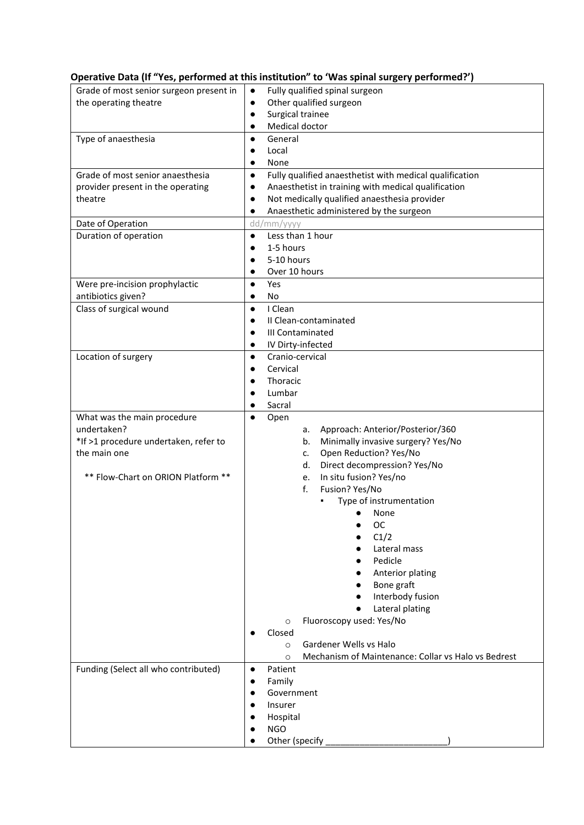### **Operative Data (If "Yes, performed at this institution" to 'Was spinal surgery performed?')**

| Grade of most senior surgeon present in | Fully qualified spinal surgeon<br>$\bullet$                          |  |
|-----------------------------------------|----------------------------------------------------------------------|--|
| the operating theatre                   | Other qualified surgeon<br>$\bullet$                                 |  |
|                                         | Surgical trainee<br>$\bullet$                                        |  |
|                                         | Medical doctor<br>$\bullet$                                          |  |
|                                         |                                                                      |  |
| Type of anaesthesia                     | General<br>$\bullet$                                                 |  |
|                                         | Local<br>$\bullet$                                                   |  |
|                                         | None<br>$\bullet$                                                    |  |
| Grade of most senior anaesthesia        | Fully qualified anaesthetist with medical qualification<br>$\bullet$ |  |
| provider present in the operating       | Anaesthetist in training with medical qualification<br>$\bullet$     |  |
| theatre                                 | Not medically qualified anaesthesia provider<br>$\bullet$            |  |
|                                         | Anaesthetic administered by the surgeon<br>$\bullet$                 |  |
| Date of Operation                       | dd/mm/yyyy                                                           |  |
| Duration of operation                   | Less than 1 hour<br>$\bullet$                                        |  |
|                                         | 1-5 hours<br>$\bullet$                                               |  |
|                                         | 5-10 hours                                                           |  |
|                                         | Over 10 hours<br>$\bullet$                                           |  |
| Were pre-incision prophylactic          | Yes<br>$\bullet$                                                     |  |
| antibiotics given?                      | No<br>$\bullet$                                                      |  |
|                                         |                                                                      |  |
| Class of surgical wound                 | I Clean<br>$\bullet$                                                 |  |
|                                         | II Clean-contaminated<br>$\bullet$                                   |  |
|                                         | III Contaminated<br>$\bullet$                                        |  |
|                                         | IV Dirty-infected<br>$\bullet$                                       |  |
| Location of surgery                     | Cranio-cervical<br>$\bullet$                                         |  |
|                                         | Cervical<br>$\bullet$                                                |  |
|                                         | Thoracic<br>$\bullet$                                                |  |
|                                         | Lumbar                                                               |  |
|                                         | Sacral                                                               |  |
| What was the main procedure             | Open<br>$\bullet$                                                    |  |
| undertaken?                             | Approach: Anterior/Posterior/360<br>а.                               |  |
| *If >1 procedure undertaken, refer to   | Minimally invasive surgery? Yes/No<br>b.                             |  |
| the main one                            | Open Reduction? Yes/No<br>c.                                         |  |
|                                         | Direct decompression? Yes/No<br>d.                                   |  |
| ** Flow-Chart on ORION Platform **      | In situ fusion? Yes/no<br>e.                                         |  |
|                                         | Fusion? Yes/No<br>f.                                                 |  |
|                                         | Type of instrumentation                                              |  |
|                                         | None                                                                 |  |
|                                         | ОC                                                                   |  |
|                                         | C1/2                                                                 |  |
|                                         | Lateral mass                                                         |  |
|                                         | Pedicle                                                              |  |
|                                         |                                                                      |  |
|                                         | Anterior plating                                                     |  |
|                                         | Bone graft                                                           |  |
|                                         | Interbody fusion                                                     |  |
|                                         | Lateral plating                                                      |  |
|                                         | Fluoroscopy used: Yes/No<br>$\circ$                                  |  |
|                                         | Closed                                                               |  |
|                                         | Gardener Wells vs Halo<br>$\circ$                                    |  |
|                                         | Mechanism of Maintenance: Collar vs Halo vs Bedrest<br>$\circ$       |  |
| Funding (Select all who contributed)    | Patient<br>$\bullet$                                                 |  |
|                                         | Family<br>$\bullet$                                                  |  |
|                                         | Government<br>$\bullet$                                              |  |
|                                         | Insurer                                                              |  |
|                                         | Hospital                                                             |  |
|                                         | <b>NGO</b>                                                           |  |
|                                         | Other (specify                                                       |  |
|                                         |                                                                      |  |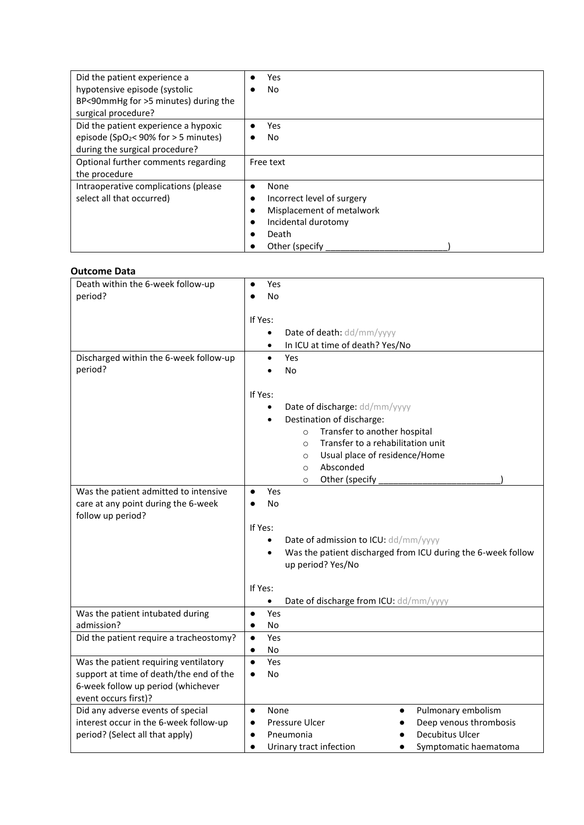| Did the patient experience a                       | Yes                        |
|----------------------------------------------------|----------------------------|
| hypotensive episode (systolic                      | No                         |
| BP<90mmHg for >5 minutes) during the               |                            |
| surgical procedure?                                |                            |
| Did the patient experience a hypoxic               | Yes                        |
| episode (SpO <sub>2</sub> < 90% for $>$ 5 minutes) | No                         |
| during the surgical procedure?                     |                            |
| Optional further comments regarding                | Free text                  |
| the procedure                                      |                            |
| Intraoperative complications (please               | None<br>$\bullet$          |
| select all that occurred)                          | Incorrect level of surgery |
|                                                    | Misplacement of metalwork  |
|                                                    | Incidental durotomy        |
|                                                    | Death                      |
|                                                    | Other (specify)            |

#### **Outcome Data**

| Death within the 6-week follow-up       | Yes                                                                        |
|-----------------------------------------|----------------------------------------------------------------------------|
| period?                                 | No                                                                         |
|                                         |                                                                            |
|                                         | If Yes:                                                                    |
|                                         | Date of death: dd/mm/yyyy<br>$\bullet$                                     |
|                                         | In ICU at time of death? Yes/No<br>$\bullet$                               |
| Discharged within the 6-week follow-up  | Yes<br>$\bullet$                                                           |
| period?                                 | <b>No</b>                                                                  |
|                                         |                                                                            |
|                                         | If Yes:                                                                    |
|                                         |                                                                            |
|                                         | Date of discharge: dd/mm/yyyy<br>$\bullet$                                 |
|                                         | Destination of discharge:                                                  |
|                                         | Transfer to another hospital<br>$\circ$                                    |
|                                         | Transfer to a rehabilitation unit<br>$\circ$                               |
|                                         | Usual place of residence/Home<br>$\circ$                                   |
|                                         | Absconded<br>$\Omega$                                                      |
|                                         | Other (specify<br>$\circ$                                                  |
| Was the patient admitted to intensive   | Yes<br>$\bullet$                                                           |
| care at any point during the 6-week     | No<br>$\bullet$                                                            |
| follow up period?                       |                                                                            |
|                                         | If Yes:                                                                    |
|                                         | Date of admission to ICU: dd/mm/yyyy<br>$\bullet$                          |
|                                         | Was the patient discharged from ICU during the 6-week follow<br>$\bullet$  |
|                                         | up period? Yes/No                                                          |
|                                         |                                                                            |
|                                         | If Yes:                                                                    |
|                                         | Date of discharge from ICU: dd/mm/yyyy<br>$\bullet$                        |
| Was the patient intubated during        | Yes<br>$\bullet$                                                           |
| admission?                              | No<br>$\bullet$                                                            |
| Did the patient require a tracheostomy? | Yes<br>$\bullet$                                                           |
|                                         | No<br>$\bullet$                                                            |
| Was the patient requiring ventilatory   | Yes<br>$\bullet$                                                           |
| support at time of death/the end of the | No<br>$\bullet$                                                            |
| 6-week follow up period (whichever      |                                                                            |
|                                         |                                                                            |
| event occurs first)?                    |                                                                            |
| Did any adverse events of special       | None<br>Pulmonary embolism<br>$\bullet$<br>$\bullet$                       |
| interest occur in the 6-week follow-up  | Pressure Ulcer<br>Deep venous thrombosis<br>$\bullet$                      |
| period? (Select all that apply)         | Decubitus Ulcer<br>Pneumonia<br>$\bullet$                                  |
|                                         | Urinary tract infection<br>Symptomatic haematoma<br>$\bullet$<br>$\bullet$ |